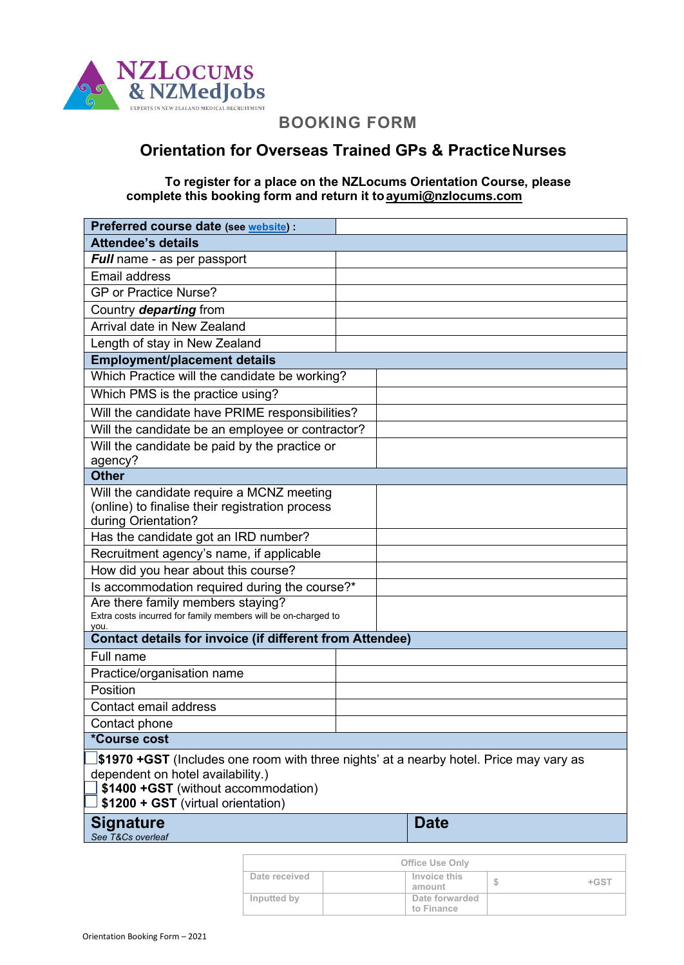

# **BOOKING FORM**

# **Orientation for Overseas Trained GPs & PracticeNurses**

## **To register for a place on the NZLocums Orientation Course, please complete this [booking form and return i](mailto:ayumi@nzlocums.com)t toayumi@nzlocums.com**

| Preferred course date (see website) :                                                              |  |  |             |  |
|----------------------------------------------------------------------------------------------------|--|--|-------------|--|
| <b>Attendee's details</b>                                                                          |  |  |             |  |
| <b>Full</b> name - as per passport                                                                 |  |  |             |  |
| <b>Email address</b>                                                                               |  |  |             |  |
| <b>GP or Practice Nurse?</b>                                                                       |  |  |             |  |
| Country departing from                                                                             |  |  |             |  |
| Arrival date in New Zealand                                                                        |  |  |             |  |
| Length of stay in New Zealand                                                                      |  |  |             |  |
| <b>Employment/placement details</b>                                                                |  |  |             |  |
| Which Practice will the candidate be working?                                                      |  |  |             |  |
| Which PMS is the practice using?                                                                   |  |  |             |  |
| Will the candidate have PRIME responsibilities?                                                    |  |  |             |  |
| Will the candidate be an employee or contractor?                                                   |  |  |             |  |
| Will the candidate be paid by the practice or                                                      |  |  |             |  |
| agency?                                                                                            |  |  |             |  |
| <b>Other</b>                                                                                       |  |  |             |  |
| Will the candidate require a MCNZ meeting                                                          |  |  |             |  |
| (online) to finalise their registration process                                                    |  |  |             |  |
| during Orientation?                                                                                |  |  |             |  |
| Has the candidate got an IRD number?                                                               |  |  |             |  |
| Recruitment agency's name, if applicable                                                           |  |  |             |  |
| How did you hear about this course?                                                                |  |  |             |  |
| Is accommodation required during the course?*                                                      |  |  |             |  |
| Are there family members staying?<br>Extra costs incurred for family members will be on-charged to |  |  |             |  |
| you.                                                                                               |  |  |             |  |
| <b>Contact details for invoice (if different from Attendee)</b>                                    |  |  |             |  |
| Full name                                                                                          |  |  |             |  |
| Practice/organisation name                                                                         |  |  |             |  |
| Position                                                                                           |  |  |             |  |
| Contact email address                                                                              |  |  |             |  |
| Contact phone                                                                                      |  |  |             |  |
| *Course cost                                                                                       |  |  |             |  |
| <b>\$1970 +GST</b> (Includes one room with three nights' at a nearby hotel. Price may vary as      |  |  |             |  |
| dependent on hotel availability.)                                                                  |  |  |             |  |
| \$1400 + GST (without accommodation)<br>\$1200 + GST (virtual orientation)                         |  |  |             |  |
|                                                                                                    |  |  |             |  |
| <b>Signature</b>                                                                                   |  |  | <b>Date</b> |  |
| See T&Cs overleaf                                                                                  |  |  |             |  |

| <b>Office Use Only</b> |                              |        |
|------------------------|------------------------------|--------|
| Date received          | Invoice this<br>amount       | $+GST$ |
| Inputted by            | Date forwarded<br>to Finance |        |